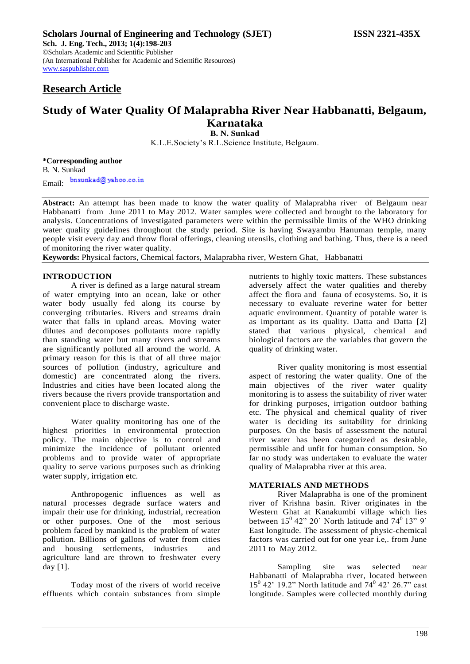# **Research Article**

# **Study of Water Quality Of Malaprabha River Near Habbanatti, Belgaum, Karnataka**

**B. N. Sunkad** K.L.E.Society's R.L.Science Institute, Belgaum.

**\*Corresponding author** B. N. Sunkad bnsunkad@yahoo.co.in Email:

**Abstract:** An attempt has been made to know the water quality of Malaprabha river of Belgaum near Habbanatti from June 2011 to May 2012. Water samples were collected and brought to the laboratory for analysis. Concentrations of investigated parameters were within the permissible limits of the WHO drinking water quality guidelines throughout the study period. Site is having Swayambu Hanuman temple, many people visit every day and throw floral offerings, cleaning utensils, clothing and bathing. Thus, there is a need of monitoring the river water quality.

**Keywords:** Physical factors, Chemical factors, Malaprabha river, Western Ghat, Habbanatti

## **INTRODUCTION**

A river is defined as a large natural stream of water emptying into an ocean, lake or other water body usually fed along its course by converging tributaries. Rivers and streams drain water that falls in upland areas. Moving water dilutes and decomposes pollutants more rapidly than standing water but many rivers and streams are significantly polluted all around the world. A primary reason for this is that of all three major sources of pollution (industry, agriculture and domestic) are concentrated along the rivers. Industries and cities have been located along the rivers because the rivers provide transportation and convenient place to discharge waste.

Water quality monitoring has one of the highest priorities in environmental protection policy. The main objective is to control and minimize the incidence of pollutant oriented problems and to provide water of appropriate quality to serve various purposes such as drinking water supply, irrigation etc.

Anthropogenic influences as well as natural processes degrade surface waters and impair their use for drinking, industrial, recreation or other purposes. One of the most serious problem faced by mankind is the problem of water pollution. Billions of gallons of water from cities and housing settlements, industries and agriculture land are thrown to freshwater every day [1].

Today most of the rivers of world receive effluents which contain substances from simple

nutrients to highly toxic matters. These substances adversely affect the water qualities and thereby affect the flora and fauna of ecosystems. So, it is necessary to evaluate reverine water for better aquatic environment. Quantity of potable water is as important as its quality. Datta and Datta [2] stated that various physical, chemical and biological factors are the variables that govern the quality of drinking water.

River quality monitoring is most essential aspect of restoring the water quality. One of the main objectives of the river water quality monitoring is to assess the suitability of river water for drinking purposes, irrigation outdoor bathing etc. The physical and chemical quality of river water is deciding its suitability for drinking purposes. On the basis of assessment the natural river water has been categorized as desirable, permissible and unfit for human consumption. So far no study was undertaken to evaluate the water quality of Malaprabha river at this area.

## **MATERIALS AND METHODS**

River Malaprabha is one of the prominent river of Krishna basin. River originates in the Western Ghat at Kanakumbi village which lies between  $15^{\circ}$  42" 20' North latitude and  $74^{\circ}$  13" 9' East longitude. The assessment of physic-chemical factors was carried out for one year i.e,. from June 2011 to May 2012.

Sampling site was selected near Habbanatti of Malaprabha river, located between 15<sup>0</sup> 42' 19.2" North latitude and 74<sup>0</sup> 42' 26.7" east longitude. Samples were collected monthly during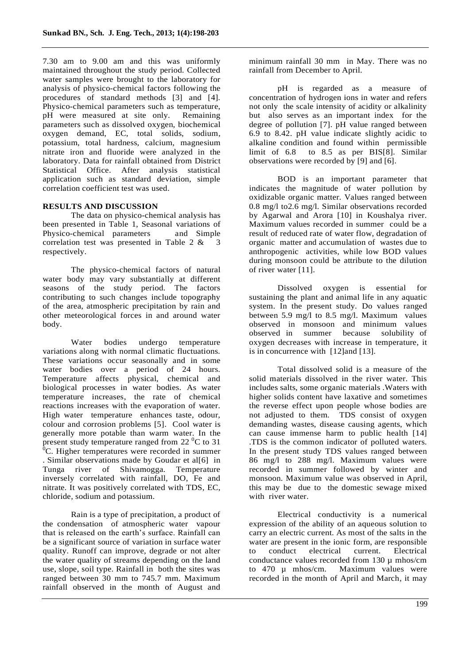7.30 am to 9.00 am and this was uniformly maintained throughout the study period. Collected water samples were brought to the laboratory for analysis of physico-chemical factors following the procedures of standard methods [3] and [4]. Physico-chemical parameters such as temperature, pH were measured at site only. Remaining parameters such as dissolved oxygen, biochemical oxygen demand, EC, total solids, sodium, potassium, total hardness, calcium, magnesium nitrate iron and fluoride were analyzed in the laboratory. Data for rainfall obtained from District Statistical Office. After analysis statistical application such as standard deviation, simple correlation coefficient test was used.

# **RESULTS AND DISCUSSION**

The data on physico-chemical analysis has been presented in Table 1, Seasonal variations of Physico-chemical parameters and Simple correlation test was presented in Table 2 & 3 respectively.

The physico-chemical factors of natural water body may vary substantially at different seasons of the study period. The factors contributing to such changes include topography of the area, atmospheric precipitation by rain and other meteorological forces in and around water body.

Water bodies undergo temperature variations along with normal climatic fluctuations. These variations occur seasonally and in some water bodies over a period of 24 hours. Temperature affects physical, chemical and biological processes in water bodies. As water temperature increases, the rate of chemical reactions increases with the evaporation of water. High water temperature enhances taste, odour, colour and corrosion problems [5]. Cool water is generally more potable than warm water. In the present study temperature ranged from  $22<sup>0</sup>C$  to 31 <sup>0</sup>C. Higher temperatures were recorded in summer . Similar observations made by Goudar et al[6] in Tunga river of Shivamogga. Temperature inversely correlated with rainfall, DO, Fe and nitrate. It was positively correlated with TDS, EC, chloride, sodium and potassium.

Rain is a type of precipitation, a product of the condensation of atmospheric water vapour that is released on the earth's surface. Rainfall can be a significant source of variation in surface water quality. Runoff can improve, degrade or not alter the water quality of streams depending on the land use, slope, soil type. Rainfall in both the sites was ranged between 30 mm to 745.7 mm. Maximum rainfall observed in the month of August and

minimum rainfall 30 mm in May. There was no rainfall from December to April.

pH is regarded as a measure of concentration of hydrogen ions in water and refers not only the scale intensity of acidity or alkalinity but also serves as an important index for the degree of pollution [7]. pH value ranged between 6.9 to 8.42. pH value indicate slightly acidic to alkaline condition and found within permissible limit of 6.8 to 8.5 as per BIS[8]. Similar observations were recorded by [9] and [6].

BOD is an important parameter that indicates the magnitude of water pollution by oxidizable organic matter. Values ranged between 0.8 mg/l to2.6 mg/l. Similar observations recorded by Agarwal and Arora [10] in Koushalya river. Maximum values recorded in summer could be a result of reduced rate of water flow, degradation of organic matter and accumulation of wastes due to anthropogenic activities, while low BOD values during monsoon could be attribute to the dilution of river water [11].

Dissolved oxygen is essential for sustaining the plant and animal life in any aquatic system. In the present study. Do values ranged between 5.9 mg/l to 8.5 mg/l. Maximum values observed in monsoon and minimum values observed in summer because solubility of oxygen decreases with increase in temperature, it is in concurrence with [12]and [13].

Total dissolved solid is a measure of the solid materials dissolved in the river water. This includes salts, some organic materials .Waters with higher solids content have laxative and sometimes the reverse effect upon people whose bodies are not adjusted to them. TDS consist of oxygen demanding wastes, disease causing agents, which can cause immense harm to public health [14] .TDS is the common indicator of polluted waters. In the present study TDS values ranged between 86 mg/l to 288 mg/l. Maximum values were recorded in summer followed by winter and monsoon. Maximum value was observed in April, this may be due to the domestic sewage mixed with river water.

Electrical conductivity is a numerical expression of the ability of an aqueous solution to carry an electric current. As most of the salts in the water are present in the ionic form, are responsible to conduct electrical current. Electrical conductance values recorded from 130 µ mhos/cm to 470 µ mhos/cm. Maximum values were recorded in the month of April and March, it may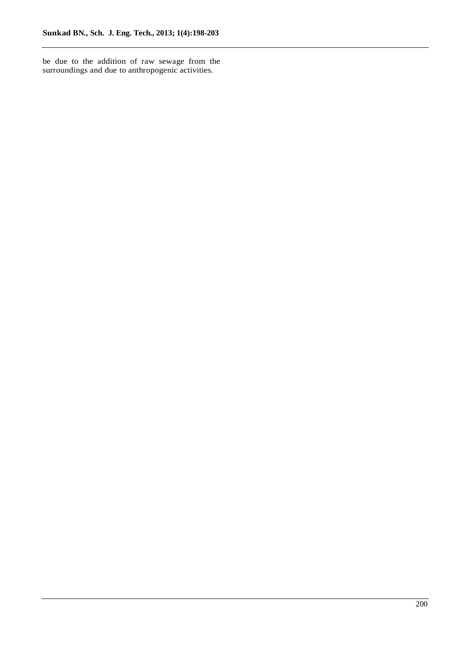be due to the addition of raw sewage from the surroundings and due to anthropogenic activities.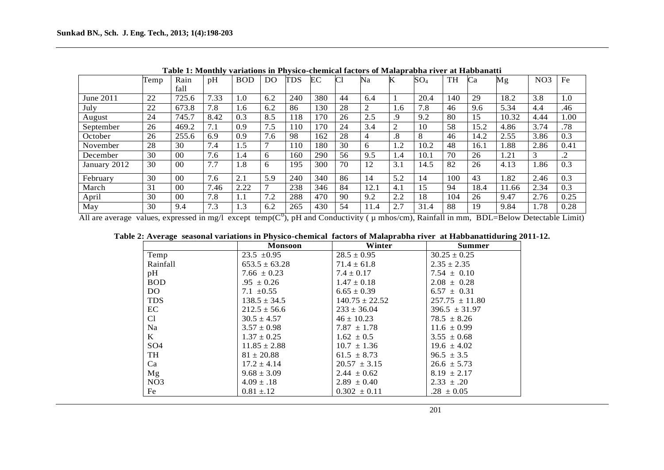|              | Temp | Rain           | pH   | <b>BOD</b> | D <sub>O</sub> | TDS | EС  | $\bf C$ | Na             | K                    | $SO_4$ | TH  | Ca   | Mg    | NO <sub>3</sub> | Fe   |
|--------------|------|----------------|------|------------|----------------|-----|-----|---------|----------------|----------------------|--------|-----|------|-------|-----------------|------|
|              |      | fall           |      |            |                |     |     |         |                |                      |        |     |      |       |                 |      |
| June 2011    | 22   | 725.6          | 7.33 | 1.0        | 6.2            | 240 | 380 | 44      | 6.4            |                      | 20.4   | 140 | 29   | 18.2  | 3.8             | 1.0  |
| July         | 22   | 673.8          | 7.8  | 1.6        | 6.2            | 86  | 130 | 28      | $\overline{2}$ | 1.6                  | 7.8    | 46  | 9.6  | 5.34  | 4.4             | .46  |
| August       | 24   | 745.7          | 8.42 | 0.3        | 8.5            | 118 | 170 | 26      | 2.5            | .9                   | 9.2    | 80  | 15   | 10.32 | 4.44            | 1.00 |
| September    | 26   | 469.2          | 7.1  | 0.9        | 7.5            | 110 | 170 | 24      | 3.4            | 2                    | 10     | 58  | 15.2 | 4.86  | 3.74            | .78  |
| October      | 26   | 255.6          | 6.9  | 0.9        | 7.6            | 98  | 162 | 28      | $\overline{4}$ | $\cdot$ <sup>8</sup> | 8      | 46  | 14.2 | 2.55  | 3.86            | 0.3  |
| November     | 28   | 30             | 7.4  | 1.5        | $\mathbf{r}$   | 110 | 180 | 30      | 6              | 1.2                  | 10.2   | 48  | 16.1 | .88   | 2.86            | 0.41 |
| December     | 30   | 0 <sup>0</sup> | 7.6  | 1.4        | 6              | 160 | 290 | 56      | 9.5            | 1.4                  | 10.1   | 70  | 26   | .21   | 3               | .2   |
| January 2012 | 30   | 0 <sup>0</sup> | 7.7  | 1.8        | 6              | 195 | 300 | 70      | 12             | 3.1                  | 14.5   | 82  | 26   | 4.13  | 1.86            | 0.3  |
| February     | 30   | 0 <sup>0</sup> | 7.6  | 2.1        | 5.9            | 240 | 340 | 86      | 14             | 5.2                  | 14     | 100 | 43   | 1.82  | 2.46            | 0.3  |
| March        | 31   | 0 <sup>0</sup> | 7.46 | 2.22       | $\mathbf{r}$   | 238 | 346 | 84      | 12.1           | 4.1                  | 15     | 94  | 18.4 | 1.66  | 2.34            | 0.3  |
| April        | 30   | 0 <sup>0</sup> | 7.8  | 1.1        | 7.2            | 288 | 470 | 90      | 9.2            | 2.2                  | 18     | 104 | 26   | 9.47  | 2.76            | 0.25 |
| May          | 30   | 9.4            | 7.3  | 1.3        | 6.2            | 265 | 430 | 54      | 11.4           | 2.7                  | 31.4   | 88  | 19   | 9.84  | 1.78            | 0.28 |

**Table 1: Monthly variations in Physico-chemical factors of Malaprabha river at Habbanatti** 

All are average values, expressed in mg/l except temp( $C^0$ ), pH and Conductivity ( $\mu$  mhos/cm), Rainfall in mm, BDL=Below Detectable Limit)

|                  | <b>Monsoon</b>    | Winter             | <b>Summer</b>      |
|------------------|-------------------|--------------------|--------------------|
| Temp             | $23.5 \pm 0.95$   | $28.5 \pm 0.95$    | $30.25 \pm 0.25$   |
| Rainfall         | $653.5 \pm 63.28$ | $71.4 \pm 61.8$    | $2.35 \pm 2.35$    |
| pH               | $7.66 \pm 0.23$   | $7.4 \pm 0.17$     | $7.54 \pm 0.10$    |
| <b>BOD</b>       | $.95 \pm 0.26$    | $1.47 \pm 0.18$    | $2.08 \pm 0.28$    |
| DO.              | $7.1 \pm 0.55$    | $6.65 \pm 0.39$    | $6.57 \pm 0.31$    |
| <b>TDS</b>       | $138.5 \pm 34.5$  | $140.75 \pm 22.52$ | $257.75 \pm 11.80$ |
| EC               | $212.5 \pm 56.6$  | $233 \pm 36.04$    | $396.5 \pm 31.97$  |
| C <sub>1</sub>   | $30.5 \pm 4.57$   | $46 \pm 10.23$     | $78.5 \pm 8.26$    |
| Na               | $3.57 \pm 0.98$   | $7.87 \pm 1.78$    | $11.6 \pm 0.99$    |
| K                | $1.37 \pm 0.25$   | $1.62 \pm 0.5$     | $3.55 \pm 0.68$    |
| SO <sub>4</sub>  | $11.85 \pm 2.88$  | $10.7 \pm 1.36$    | $19.6 \pm 4.02$    |
| <b>TH</b>        | $81 \pm 20.88$    | $61.5 \pm 8.73$    | $96.5 \pm 3.5$     |
| Ca               | $17.2 \pm 4.14$   | $20.57 \pm 3.15$   | $26.6 \pm 5.73$    |
| Mg               | $9.68 \pm 3.09$   | $2.44 \pm 0.62$    | $8.19 \pm 2.17$    |
| N <sub>O</sub> 3 | $4.09 \pm .18$    | $2.89 \pm 0.40$    | $2.33 \pm .20$     |
| Fe               | $0.81 \pm .12$    | $0.302 \pm 0.11$   | $.28 \pm 0.05$     |

|  | Table 2: Average seasonal variations in Physico-chemical factors of Malaprabha river at Habbanattiduring 2011-12. |  |  |  |  |  |
|--|-------------------------------------------------------------------------------------------------------------------|--|--|--|--|--|
|--|-------------------------------------------------------------------------------------------------------------------|--|--|--|--|--|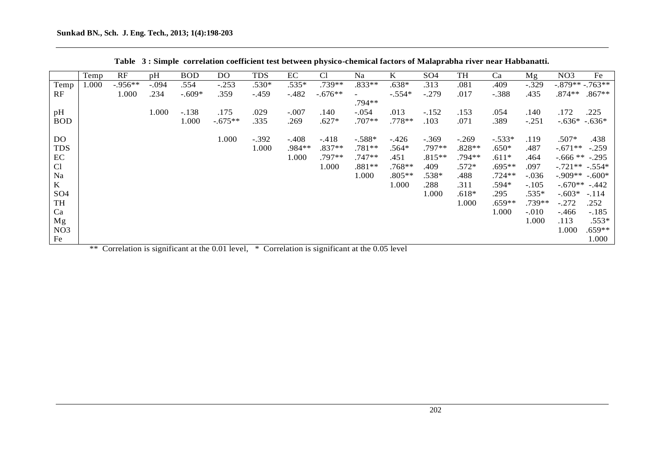|                 | Temp  | RF        | pH      | <b>BOD</b> | <b>DO</b>                                        | <b>TDS</b> | EC      | C <sub>1</sub> | Na                                               | K        | SO <sub>4</sub> | TH       | Ca       | Mg      | Fe<br>NO <sub>3</sub> |
|-----------------|-------|-----------|---------|------------|--------------------------------------------------|------------|---------|----------------|--------------------------------------------------|----------|-----------------|----------|----------|---------|-----------------------|
| Temp            | 1.000 | $-.956**$ | $-.094$ | .554       | $-.253$                                          | .530*      | $.535*$ | .739**         | .833**                                           | $.638*$  | .313            | .081     | .409     | $-.329$ | $-.879**-.763**$      |
| RF              |       | 1.000     | .234    | $-.609*$   | .359                                             | $-.459$    | $-.482$ | $-.676**$      |                                                  | $-.554*$ | $-.279$         | .017     | $-.388$  | .435    | .874**<br>$.867**$    |
|                 |       |           |         |            |                                                  |            |         |                | .794**                                           |          |                 |          |          |         |                       |
| pH              |       |           | 1.000   | $-.138$    | .175                                             | .029       | $-.007$ | .140           | $-.054$                                          | .013     | $-.152$         | .153     | .054     | .140    | .172<br>.225          |
| <b>BOD</b>      |       |           |         | 1.000      | $-.675**$                                        | .335       | .269    | $.627*$        | $.707**$                                         | .778**   | .103            | .071     | .389     | $-.251$ | $-.636*-.636*$        |
|                 |       |           |         |            |                                                  |            |         |                |                                                  |          |                 |          |          |         |                       |
| DO.             |       |           |         |            | 1.000                                            | $-.392$    | $-.408$ | -.418          | $-.588*$                                         | $-.426$  | $-.369$         | $-.269$  | $-.533*$ | .119    | $.507*$<br>.438       |
| <b>TDS</b>      |       |           |         |            |                                                  | 1.000      | .984**  | $.837**$       | $.781**$                                         | .564*    | .797**          | $.828**$ | $.650*$  | .487    | $-.671**$<br>$-.259$  |
| EC              |       |           |         |            |                                                  |            | 1.000   | $.797**$       | $.747**$                                         | .451     | $.815**$        | $.794**$ | $.611*$  | .464    | $-.666$ ** $-.295$    |
| C <sub>1</sub>  |       |           |         |            |                                                  |            |         | 1.000          | $.881**$                                         | $.768**$ | .409            | $.572*$  | $.695**$ | .097    | $-.721**-.554*$       |
| Na              |       |           |         |            |                                                  |            |         |                | 1.000                                            | $.805**$ | .538*           | .488     | $.724**$ | $-.036$ | $-.909**-.600*$       |
| $\bf K$         |       |           |         |            |                                                  |            |         |                |                                                  | 1.000    | .288            | .311     | .594*    | $-.105$ | $-.670**-.442$        |
| SO <sub>4</sub> |       |           |         |            |                                                  |            |         |                |                                                  |          | 1.000           | $.618*$  | .295     | $.535*$ | $-.603*$<br>$-.114$   |
| TH              |       |           |         |            |                                                  |            |         |                |                                                  |          |                 | 1.000    | $.659**$ | .739**  | $-.272$<br>.252       |
| Ca              |       |           |         |            |                                                  |            |         |                |                                                  |          |                 |          | 1.000    | $-.010$ | $-.466$<br>$-.185$    |
| Mg              |       |           |         |            |                                                  |            |         |                |                                                  |          |                 |          |          | 1.000   | $.553*$<br>.113       |
| NO <sub>3</sub> |       |           |         |            |                                                  |            |         |                |                                                  |          |                 |          |          |         | 1.000<br>$.659**$     |
| Fe              |       |           |         |            |                                                  |            |         |                |                                                  |          |                 |          |          |         | 1.000                 |
|                 |       |           |         |            | $**$ Correlation is significant at the 0.01 lays |            |         |                | $*$ Correlation is significant at the 0.05 lavel |          |                 |          |          |         |                       |

|  |  | Table 3: Simple correlation coefficient test between physico-chemical factors of Malaprabha river near Habbanatti. |  |
|--|--|--------------------------------------------------------------------------------------------------------------------|--|
|  |  |                                                                                                                    |  |

\*\* Correlation is significant at the 0.01 level, \* Correlation is significant at the 0.05 level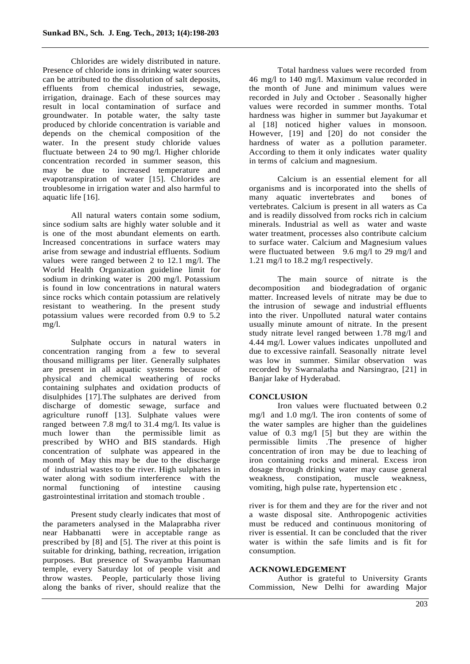Chlorides are widely distributed in nature. Presence of chloride ions in drinking water sources can be attributed to the dissolution of salt deposits, effluents from chemical industries, sewage, irrigation, drainage. Each of these sources may result in local contamination of surface and groundwater. In potable water, the salty taste produced by chloride concentration is variable and depends on the chemical composition of the water. In the present study chloride values fluctuate between 24 to 90 mg/l. Higher chloride concentration recorded in summer season, this may be due to increased temperature and evapotranspiration of water [15]. Chlorides are troublesome in irrigation water and also harmful to aquatic life [16].

All natural waters contain some sodium, since sodium salts are highly water soluble and it is one of the most abundant elements on earth. Increased concentrations in surface waters may arise from sewage and industrial effluents. Sodium values were ranged between 2 to 12.1 mg/l. The World Health Organization guideline limit for sodium in drinking water is 200 mg/l. Potassium is found in low concentrations in natural waters since rocks which contain potassium are relatively resistant to weathering. In the present study potassium values were recorded from 0.9 to 5.2 mg/l.

Sulphate occurs in natural waters in concentration ranging from a few to several thousand milligrams per liter. Generally sulphates are present in all aquatic systems because of physical and chemical weathering of rocks containing sulphates and oxidation products of disulphides [17].The sulphates are derived from discharge of domestic sewage, surface and agriculture runoff [13]. Sulphate values were ranged between 7.8 mg/l to 31.4 mg/l. Its value is much lower than the permissible limit as prescribed by WHO and BIS standards. High concentration of sulphate was appeared in the month of May this may be due to the discharge of industrial wastes to the river. High sulphates in water along with sodium interference with the normal functioning of intestine causing gastrointestinal irritation and stomach trouble .

Present study clearly indicates that most of the parameters analysed in the Malaprabha river near Habbanatti were in acceptable range as prescribed by [8] and [5]. The river at this point is suitable for drinking, bathing, recreation, irrigation purposes. But presence of Swayambu Hanuman temple, every Saturday lot of people visit and throw wastes. People, particularly those living along the banks of river, should realize that the

Total hardness values were recorded from 46 mg/l to 140 mg/l. Maximum value recorded in the month of June and minimum values were recorded in July and October . Seasonally higher values were recorded in summer months. Total hardness was higher in summer but Jayakumar et al [18] noticed higher values in monsoon. However, [19] and [20] do not consider the hardness of water as a pollution parameter. According to them it only indicates water quality in terms of calcium and magnesium.

Calcium is an essential element for all organisms and is incorporated into the shells of many aquatic invertebrates and bones of vertebrates. Calcium is present in all waters as Ca and is readily dissolved from rocks rich in calcium minerals. Industrial as well as water and waste water treatment, processes also contribute calcium to surface water. Calcium and Magnesium values were fluctuated between 9.6 mg/l to 29 mg/l and 1.21 mg/l to 18.2 mg/l respectively.

The main source of nitrate is the decomposition and biodegradation of organic matter. Increased levels of nitrate may be due to the intrusion of sewage and industrial effluents into the river. Unpolluted natural water contains usually minute amount of nitrate. In the present study nitrate level ranged between 1.78 mg/l and 4.44 mg/l. Lower values indicates unpolluted and due to excessive rainfall. Seasonally nitrate level was low in summer. Similar observation was recorded by Swarnalatha and Narsingrao, [21] in Banjar lake of Hyderabad.

## **CONCLUSION**

Iron values were fluctuated between 0.2 mg/l and 1.0 mg/l. The iron contents of some of the water samples are higher than the guidelines value of 0.3 mg/l [5] but they are within the permissible limits .The presence of higher concentration of iron may be due to leaching of iron containing rocks and mineral. Excess iron dosage through drinking water may cause general weakness, constipation, muscle weakness, vomiting, high pulse rate, hypertension etc .

river is for them and they are for the river and not a waste disposal site. Anthropogenic activities must be reduced and continuous monitoring of river is essential. It can be concluded that the river water is within the safe limits and is fit for consumption.

## **ACKNOWLEDGEMENT**

Author is grateful to University Grants Commission, New Delhi for awarding Major